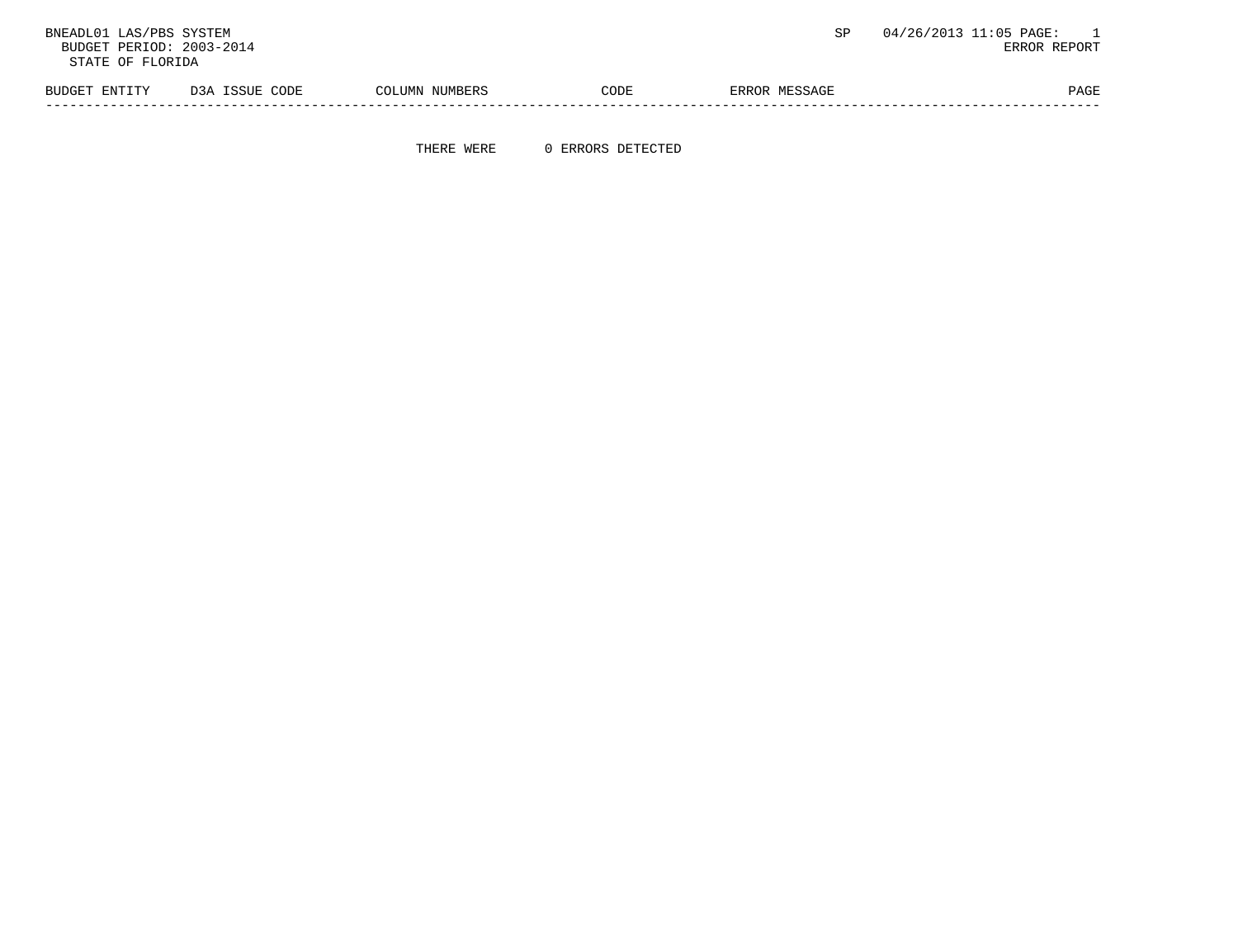BNEADL01 LAS/PBS SYSTEM  $\texttt{BUCB}$  and  $\texttt{BUCB}$  and  $\texttt{BUCB}$  and  $\texttt{BUCB}$  and  $\texttt{BUCB}$  and  $\texttt{BUCB}$  and  $\texttt{BUCB}$  and  $\texttt{BUCB}$  and  $\texttt{BRC}$   $\texttt{REDR}$  and  $\texttt{BRC}$   $\texttt{REDR}$  and  $\texttt{BPC}$  and  $\texttt{BPC}$  and BUDGET PERIOD: 2003-2014 STATE OF FLORIDA BUDGET ENTITY D3A ISSUE CODE COLUMN NUMBERS CODE ERROR MESSAGE PAGE PAGE -----------------------------------------------------------------------------------------------------------------------------------

THERE WERE 0 ERRORS DETECTED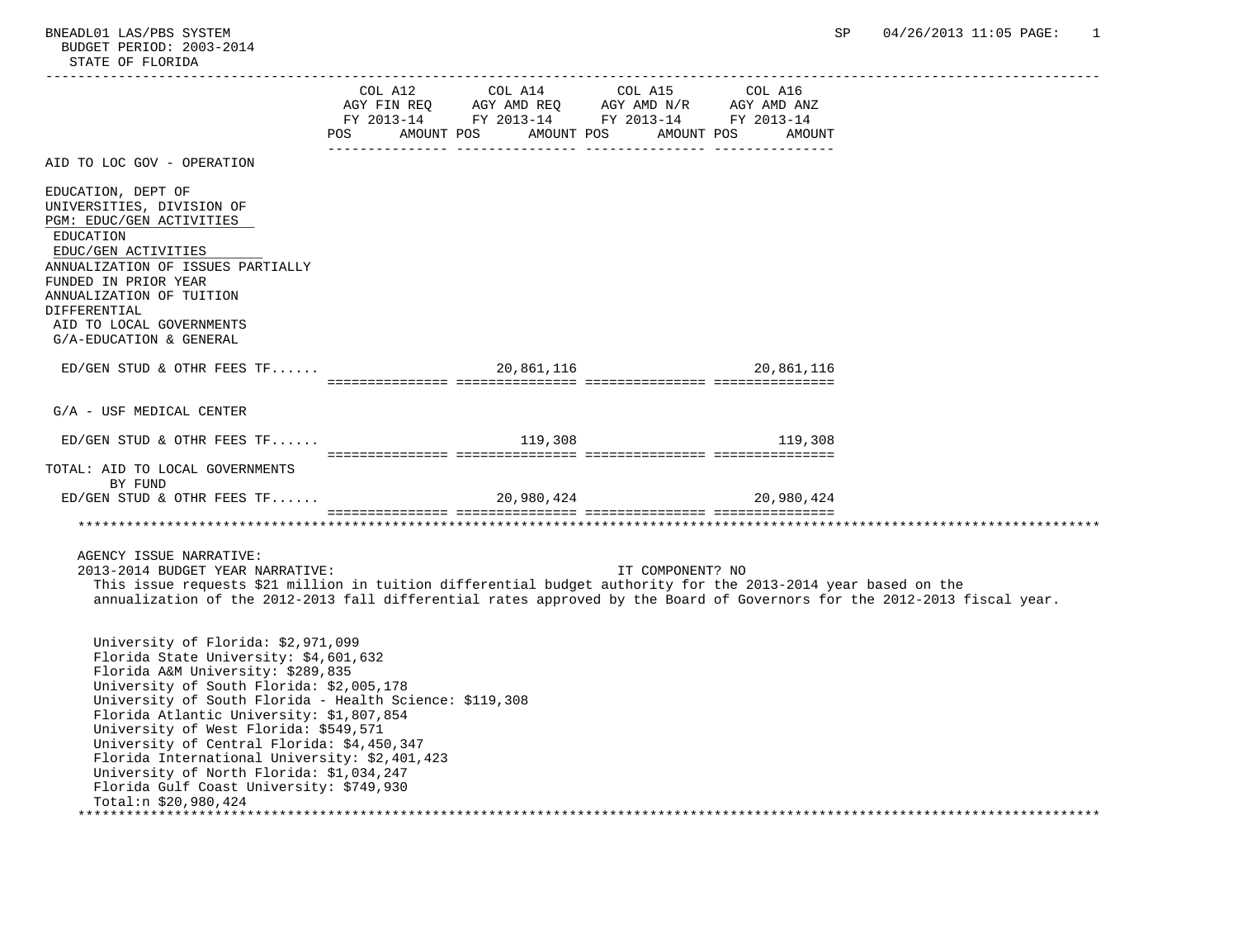|                                                                                                                                                                                                                                                                                                                                                                                                                                                                                                                             | POS AMOUNT POS AMOUNT POS AMOUNT POS AMOUNT | $\begin{tabular}{lllllllll} COL & A12 & & COL & A14 & & COL & A15 & & COL & A16 \\ AGY & FIN & REQ & & AGY & AMD & REQ & & AGY & AMD & N/R & & AGY & AMD & ANZ \\ FY & 2013-14 & & FY & 2013-14 & & FY & 2013-14 & & FY & 2013-14 \\ \end{tabular}$ |                       |  |
|-----------------------------------------------------------------------------------------------------------------------------------------------------------------------------------------------------------------------------------------------------------------------------------------------------------------------------------------------------------------------------------------------------------------------------------------------------------------------------------------------------------------------------|---------------------------------------------|-----------------------------------------------------------------------------------------------------------------------------------------------------------------------------------------------------------------------------------------------------|-----------------------|--|
| AID TO LOC GOV - OPERATION                                                                                                                                                                                                                                                                                                                                                                                                                                                                                                  |                                             |                                                                                                                                                                                                                                                     |                       |  |
| EDUCATION, DEPT OF<br>UNIVERSITIES, DIVISION OF<br>PGM: EDUC/GEN ACTIVITIES<br>EDUCATION<br>EDUC/GEN ACTIVITIES<br>ANNUALIZATION OF ISSUES PARTIALLY<br>FUNDED IN PRIOR YEAR<br>ANNUALIZATION OF TUITION<br>DIFFERENTIAL<br>AID TO LOCAL GOVERNMENTS<br>G/A-EDUCATION & GENERAL                                                                                                                                                                                                                                             |                                             |                                                                                                                                                                                                                                                     |                       |  |
| $ED/GEN$ STUD & OTHR FEES TF                                                                                                                                                                                                                                                                                                                                                                                                                                                                                                |                                             |                                                                                                                                                                                                                                                     | 20,861,116 20,861,116 |  |
| G/A - USF MEDICAL CENTER                                                                                                                                                                                                                                                                                                                                                                                                                                                                                                    |                                             |                                                                                                                                                                                                                                                     |                       |  |
| $ED/GEN$ STUD & OTHR FEES TF                                                                                                                                                                                                                                                                                                                                                                                                                                                                                                |                                             |                                                                                                                                                                                                                                                     | 119,308 119,308       |  |
| TOTAL: AID TO LOCAL GOVERNMENTS<br>BY FUND                                                                                                                                                                                                                                                                                                                                                                                                                                                                                  |                                             |                                                                                                                                                                                                                                                     |                       |  |
|                                                                                                                                                                                                                                                                                                                                                                                                                                                                                                                             |                                             |                                                                                                                                                                                                                                                     |                       |  |
| AGENCY ISSUE NARRATIVE:<br>2013-2014 BUDGET YEAR NARRATIVE:<br>This issue requests \$21 million in tuition differential budget authority for the 2013-2014 year based on the<br>annualization of the 2012-2013 fall differential rates approved by the Board of Governors for the 2012-2013 fiscal year.                                                                                                                                                                                                                    |                                             | IT COMPONENT? NO                                                                                                                                                                                                                                    |                       |  |
| University of Florida: \$2,971,099<br>Florida State University: \$4,601,632<br>Florida A&M University: \$289,835<br>University of South Florida: \$2,005,178<br>University of South Florida - Health Science: \$119,308<br>Florida Atlantic University: \$1,807,854<br>University of West Florida: \$549,571<br>University of Central Florida: \$4,450,347<br>Florida International University: \$2,401,423<br>University of North Florida: \$1,034,247<br>Florida Gulf Coast University: \$749,930<br>Total: $$20,980,424$ |                                             |                                                                                                                                                                                                                                                     |                       |  |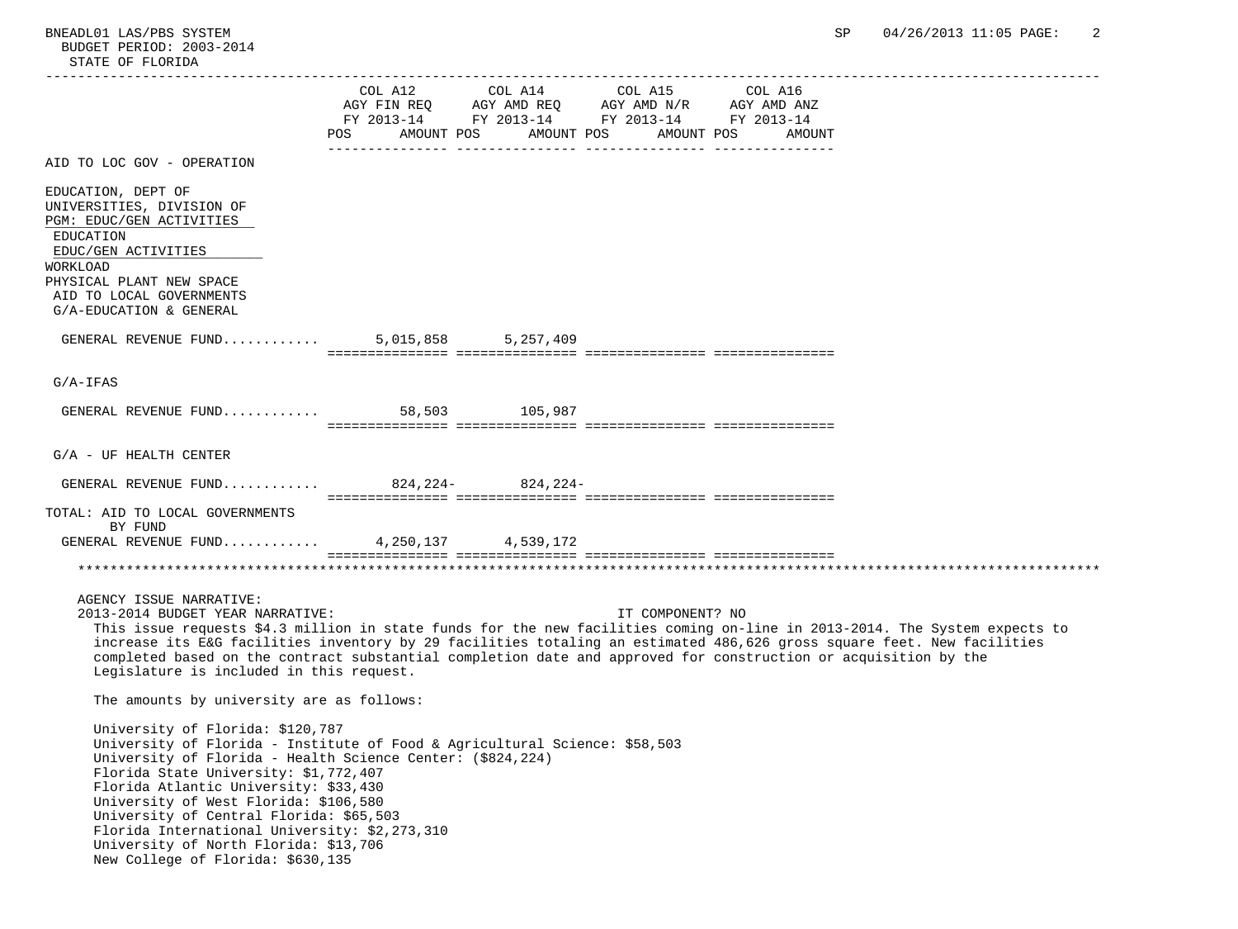|                                                                                                                                                                                                                                                                                                                                                                                                                                                                                    | POS AMOUNT POS AMOUNT POS AMOUNT POS AMOUNT | FY 2013-14 FY 2013-14 FY 2013-14 FY 2013-14 |  |
|------------------------------------------------------------------------------------------------------------------------------------------------------------------------------------------------------------------------------------------------------------------------------------------------------------------------------------------------------------------------------------------------------------------------------------------------------------------------------------|---------------------------------------------|---------------------------------------------|--|
| AID TO LOC GOV - OPERATION                                                                                                                                                                                                                                                                                                                                                                                                                                                         |                                             |                                             |  |
| EDUCATION, DEPT OF<br>UNIVERSITIES, DIVISION OF<br>PGM: EDUC/GEN ACTIVITIES<br>EDUCATION<br>EDUC/GEN ACTIVITIES<br>WORKLOAD<br>PHYSICAL PLANT NEW SPACE<br>AID TO LOCAL GOVERNMENTS<br>G/A-EDUCATION & GENERAL                                                                                                                                                                                                                                                                     |                                             |                                             |  |
| GENERAL REVENUE FUND 5,015,858 5,257,409                                                                                                                                                                                                                                                                                                                                                                                                                                           |                                             |                                             |  |
| $G/A-IFAS$                                                                                                                                                                                                                                                                                                                                                                                                                                                                         |                                             |                                             |  |
| GENERAL REVENUE FUND 58,503 105,987                                                                                                                                                                                                                                                                                                                                                                                                                                                |                                             |                                             |  |
| $G/A$ - UF HEALTH CENTER                                                                                                                                                                                                                                                                                                                                                                                                                                                           |                                             |                                             |  |
| GENERAL REVENUE FUND 824, 224- 824, 224-                                                                                                                                                                                                                                                                                                                                                                                                                                           |                                             |                                             |  |
| TOTAL: AID TO LOCAL GOVERNMENTS<br>BY FUND<br>GENERAL REVENUE FUND 4,250,137 4,539,172                                                                                                                                                                                                                                                                                                                                                                                             |                                             |                                             |  |
| AGENCY ISSUE NARRATIVE:<br>2013-2014 BUDGET YEAR NARRATIVE:<br>This issue requests \$4.3 million in state funds for the new facilities coming on-line in 2013-2014. The System expects to<br>increase its E&G facilities inventory by 29 facilities totaling an estimated 486,626 gross square feet. New facilities<br>completed based on the contract substantial completion date and approved for construction or acquisition by the<br>Legislature is included in this request. |                                             | IT COMPONENT? NO                            |  |
| The amounts by university are as follows:                                                                                                                                                                                                                                                                                                                                                                                                                                          |                                             |                                             |  |
| University of Florida: \$120,787<br>University of Florida - Institute of Food & Agricultural Science: \$58,503<br>University of Florida - Health Science Center: (\$824,224)<br>Florida State University: \$1,772,407<br>Florida Atlantic University: \$33,430<br>University of West Florida: \$106,580<br>University of Central Florida: \$65,503<br>Florida International University: \$2,273,310<br>University of North Florida: \$13,706<br>New College of Florida: \$630,135  |                                             |                                             |  |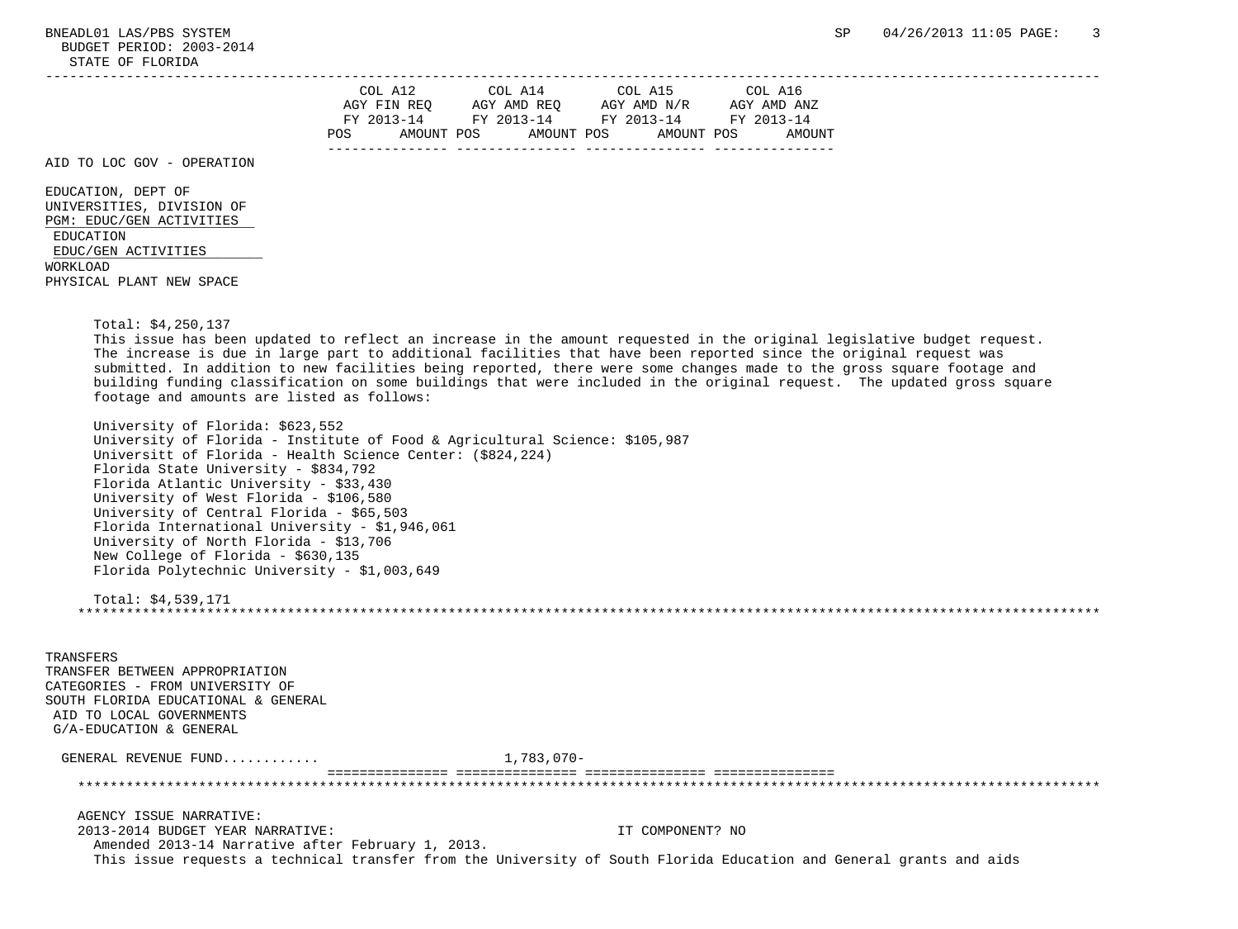BUDGET PERIOD: 2003-2014 STATE OF FLORIDA

| COL A12            | COL A14     | COL A15     | COL A16     |
|--------------------|-------------|-------------|-------------|
| AGY FIN REQ        | AGY AMD REQ | AGY AMD N/R | AGY AMD ANZ |
| FY 2013-14         | FY 2013-14  | FY 2013-14  | FY 2013-14  |
| POS.<br>AMOUNT POS | AMOUNT POS  | AMOUNT POS  | AMOUNT      |
|                    |             |             |             |

AID TO LOC GOV - OPERATION

 EDUCATION, DEPT OF UNIVERSITIES, DIVISION OF PGM: EDUC/GEN ACTIVITIES EDUCATION EDUC/GEN ACTIVITIES WORKLOAD PHYSICAL PLANT NEW SPACE

Total: \$4,250,137

 This issue has been updated to reflect an increase in the amount requested in the original legislative budget request. The increase is due in large part to additional facilities that have been reported since the original request was submitted. In addition to new facilities being reported, there were some changes made to the gross square footage and building funding classification on some buildings that were included in the original request. The updated gross square footage and amounts are listed as follows:

- University of Florida: \$623,552 University of Florida - Institute of Food & Agricultural Science: \$105,987 Universitt of Florida - Health Science Center: (\$824,224) Florida State University - \$834,792 Florida Atlantic University - \$33,430 University of West Florida - \$106,580 University of Central Florida - \$65,503 Florida International University - \$1,946,061 University of North Florida - \$13,706 New College of Florida - \$630,135 Florida Polytechnic University - \$1,003,649
- Total: \$4,539,171 \*\*\*\*\*\*\*\*\*\*\*\*\*\*\*\*\*\*\*\*\*\*\*\*\*\*\*\*\*\*\*\*\*\*\*\*\*\*\*\*\*\*\*\*\*\*\*\*\*\*\*\*\*\*\*\*\*\*\*\*\*\*\*\*\*\*\*\*\*\*\*\*\*\*\*\*\*\*\*\*\*\*\*\*\*\*\*\*\*\*\*\*\*\*\*\*\*\*\*\*\*\*\*\*\*\*\*\*\*\*\*\*\*\*\*\*\*\*\*\*\*\*\*\*\*\*\*

 TRANSFERS TRANSFER BETWEEN APPROPRIATION CATEGORIES - FROM UNIVERSITY OF SOUTH FLORIDA EDUCATIONAL & GENERAL AID TO LOCAL GOVERNMENTS G/A-EDUCATION & GENERAL GENERAL REVENUE FUND............ 1,783,070- =============== =============== =============== =============== \*\*\*\*\*\*\*\*\*\*\*\*\*\*\*\*\*\*\*\*\*\*\*\*\*\*\*\*\*\*\*\*\*\*\*\*\*\*\*\*\*\*\*\*\*\*\*\*\*\*\*\*\*\*\*\*\*\*\*\*\*\*\*\*\*\*\*\*\*\*\*\*\*\*\*\*\*\*\*\*\*\*\*\*\*\*\*\*\*\*\*\*\*\*\*\*\*\*\*\*\*\*\*\*\*\*\*\*\*\*\*\*\*\*\*\*\*\*\*\*\*\*\*\*\*\*\* AGENCY ISSUE NARRATIVE: 2013-2014 BUDGET YEAR NARRATIVE: IT COMPONENT? NO Amended 2013-14 Narrative after February 1, 2013.

This issue requests a technical transfer from the University of South Florida Education and General grants and aids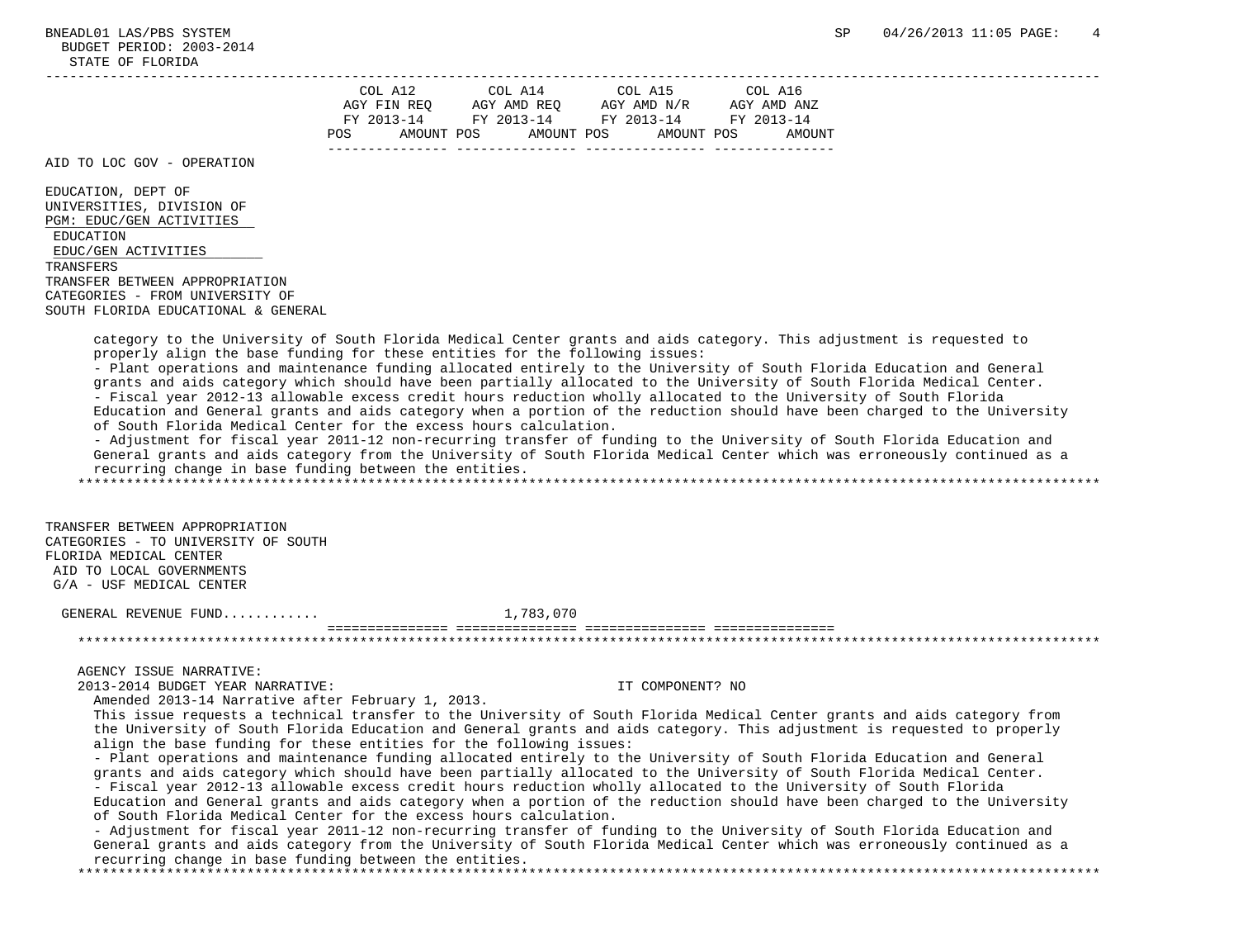| COL A12            | COL A14     | COL A15     | COL A16     |
|--------------------|-------------|-------------|-------------|
| AGY FIN REQ        | AGY AMD REQ | AGY AMD N/R | AGY AMD ANZ |
| FY 2013-14         | FY 2013-14  | FY 2013-14  | FY 2013-14  |
| POS.<br>AMOUNT POS | AMOUNT POS  | AMOUNT POS  | AMOUNT      |
|                    |             |             |             |

AID TO LOC GOV - OPERATION

 EDUCATION, DEPT OF UNIVERSITIES, DIVISION OF PGM: EDUC/GEN ACTIVITIES EDUCATION EDUC/GEN ACTIVITIES

 TRANSFERS TRANSFER BETWEEN APPROPRIATION CATEGORIES - FROM UNIVERSITY OF

SOUTH FLORIDA EDUCATIONAL & GENERAL

 category to the University of South Florida Medical Center grants and aids category. This adjustment is requested to properly align the base funding for these entities for the following issues:

 - Plant operations and maintenance funding allocated entirely to the University of South Florida Education and General grants and aids category which should have been partially allocated to the University of South Florida Medical Center. - Fiscal year 2012-13 allowable excess credit hours reduction wholly allocated to the University of South Florida Education and General grants and aids category when a portion of the reduction should have been charged to the University of South Florida Medical Center for the excess hours calculation.

 - Adjustment for fiscal year 2011-12 non-recurring transfer of funding to the University of South Florida Education and General grants and aids category from the University of South Florida Medical Center which was erroneously continued as a recurring change in base funding between the entities.

\*\*\*\*\*\*\*\*\*\*\*\*\*\*\*\*\*\*\*\*\*\*\*\*\*\*\*\*\*\*\*\*\*\*\*\*\*\*\*\*\*\*\*\*\*\*\*\*\*\*\*\*\*\*\*\*\*\*\*\*\*\*\*\*\*\*\*\*\*\*\*\*\*\*\*\*\*\*\*\*\*\*\*\*\*\*\*\*\*\*\*\*\*\*\*\*\*\*\*\*\*\*\*\*\*\*\*\*\*\*\*\*\*\*\*\*\*\*\*\*\*\*\*\*\*\*\*

 TRANSFER BETWEEN APPROPRIATION CATEGORIES - TO UNIVERSITY OF SOUTH FLORIDA MEDICAL CENTER AID TO LOCAL GOVERNMENTS G/A - USF MEDICAL CENTER

GENERAL REVENUE FUND............ 1,783,070

AGENCY ISSUE NARRATIVE:

2013-2014 BUDGET YEAR NARRATIVE: IT COMPONENT? NO

Amended 2013-14 Narrative after February 1, 2013.

 This issue requests a technical transfer to the University of South Florida Medical Center grants and aids category from the University of South Florida Education and General grants and aids category. This adjustment is requested to properly align the base funding for these entities for the following issues:

 =============== =============== =============== =============== \*\*\*\*\*\*\*\*\*\*\*\*\*\*\*\*\*\*\*\*\*\*\*\*\*\*\*\*\*\*\*\*\*\*\*\*\*\*\*\*\*\*\*\*\*\*\*\*\*\*\*\*\*\*\*\*\*\*\*\*\*\*\*\*\*\*\*\*\*\*\*\*\*\*\*\*\*\*\*\*\*\*\*\*\*\*\*\*\*\*\*\*\*\*\*\*\*\*\*\*\*\*\*\*\*\*\*\*\*\*\*\*\*\*\*\*\*\*\*\*\*\*\*\*\*\*\*

 - Plant operations and maintenance funding allocated entirely to the University of South Florida Education and General grants and aids category which should have been partially allocated to the University of South Florida Medical Center. - Fiscal year 2012-13 allowable excess credit hours reduction wholly allocated to the University of South Florida Education and General grants and aids category when a portion of the reduction should have been charged to the University of South Florida Medical Center for the excess hours calculation.

 - Adjustment for fiscal year 2011-12 non-recurring transfer of funding to the University of South Florida Education and General grants and aids category from the University of South Florida Medical Center which was erroneously continued as a recurring change in base funding between the entities.

\*\*\*\*\*\*\*\*\*\*\*\*\*\*\*\*\*\*\*\*\*\*\*\*\*\*\*\*\*\*\*\*\*\*\*\*\*\*\*\*\*\*\*\*\*\*\*\*\*\*\*\*\*\*\*\*\*\*\*\*\*\*\*\*\*\*\*\*\*\*\*\*\*\*\*\*\*\*\*\*\*\*\*\*\*\*\*\*\*\*\*\*\*\*\*\*\*\*\*\*\*\*\*\*\*\*\*\*\*\*\*\*\*\*\*\*\*\*\*\*\*\*\*\*\*\*\*